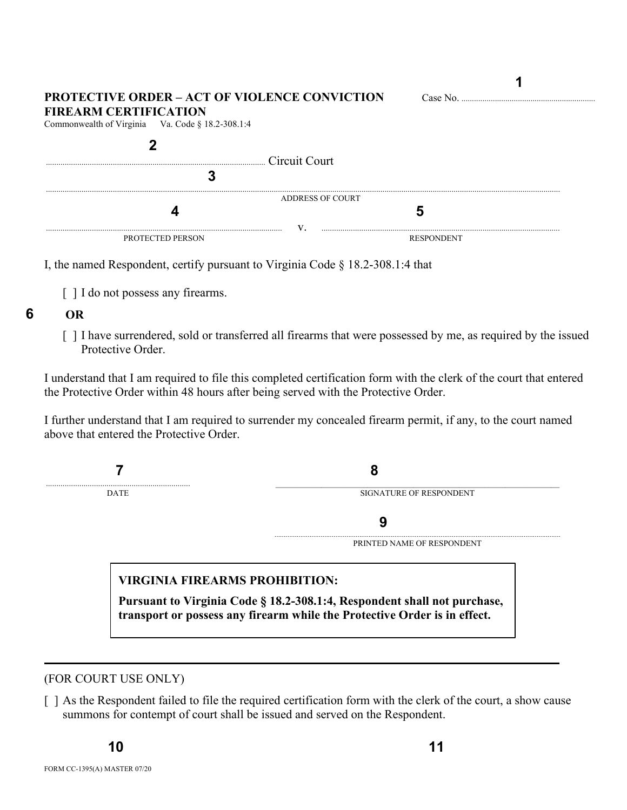| <b>PROTECTIVE ORDER – ACT OF VIOLENCE CONVICTION</b><br><b>FIREARM CERTIFICATION</b><br>Commonwealth of Virginia Va. Code § 18.2-308.1:4 | Case No.          |
|------------------------------------------------------------------------------------------------------------------------------------------|-------------------|
| Circuit Court                                                                                                                            |                   |
| ADDRESS OF COURT                                                                                                                         |                   |
|                                                                                                                                          |                   |
|                                                                                                                                          |                   |
| <b>PROTECTED PERSON</b>                                                                                                                  | <b>RESPONDENT</b> |

I, the named Respondent, certify pursuant to Virginia Code § 18.2-308.1:4 that

[ ] I do not possess any firearms.

## **6 OR**

[] I have surrendered, sold or transferred all firearms that were possessed by me, as required by the issued Protective Order.

I understand that I am required to file this completed certification form with the clerk of the court that entered the Protective Order within 48 hours after being served with the Protective Order.

I further understand that I am required to surrender my concealed firearm permit, if any, to the court named above that entered the Protective Order.

 **7 8** ..................................................................... \_\_\_\_\_\_\_\_\_\_\_\_\_\_\_\_\_\_\_\_\_\_\_\_\_\_\_\_\_\_\_\_\_\_\_\_\_\_\_\_\_\_\_\_\_\_\_\_\_\_\_\_\_\_\_\_\_\_\_\_\_\_\_\_\_\_\_\_ DATE SIGNATURE OF RESPONDENT  **9** ........................................................................................................................................................... PRINTED NAME OF RESPONDENT **VIRGINIA FIREARMS PROHIBITION: Pursuant to Virginia Code § 18.2-308.1:4, Respondent shall not purchase,** 

**transport or possess any firearm while the Protective Order is in effect.**

## (FOR COURT USE ONLY)

[] As the Respondent failed to file the required certification form with the clerk of the court, a show cause summons for contempt of court shall be issued and served on the Respondent.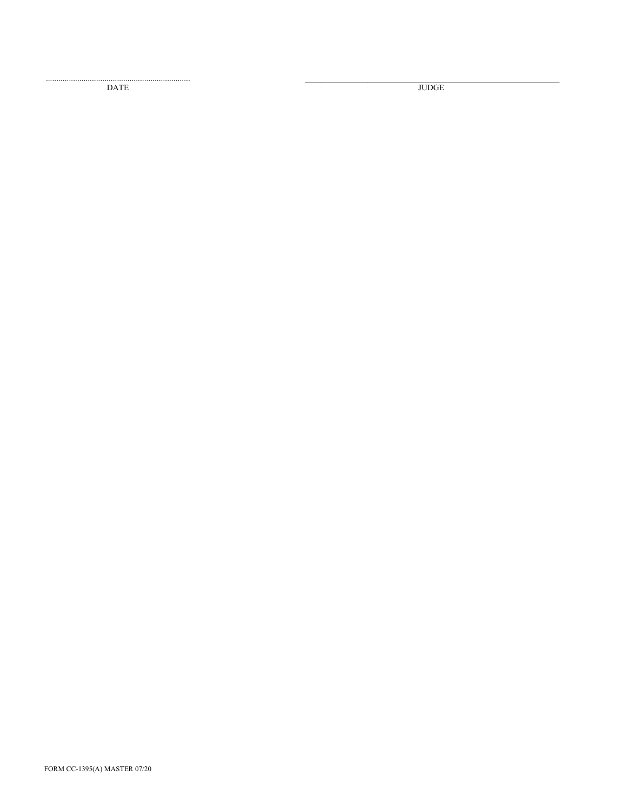$\mathop{\mathrm{DATE}}$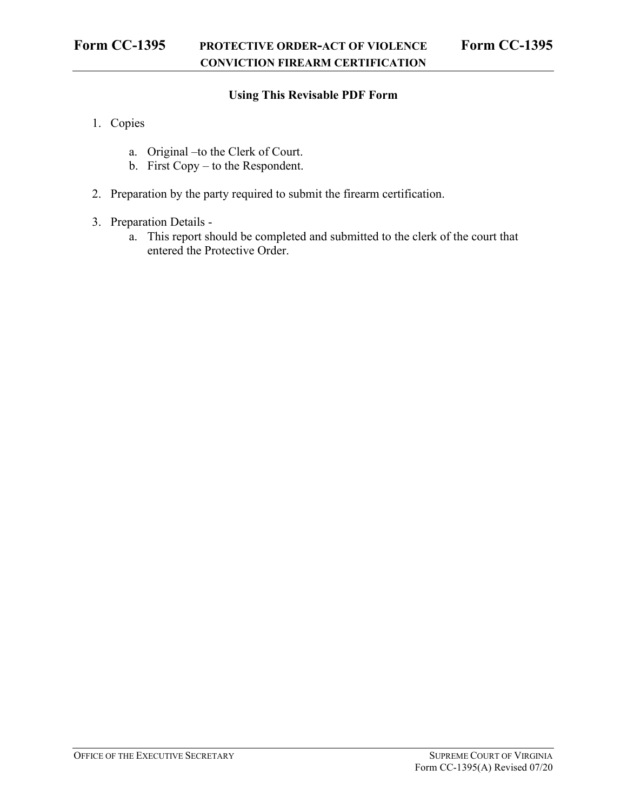## **Using This Revisable PDF Form**

- 1. Copies
	- a. Original –to the Clerk of Court.
	- b. First Copy to the Respondent.
- 2. Preparation by the party required to submit the firearm certification.
- 3. Preparation Details
	- a. This report should be completed and submitted to the clerk of the court that entered the Protective Order.